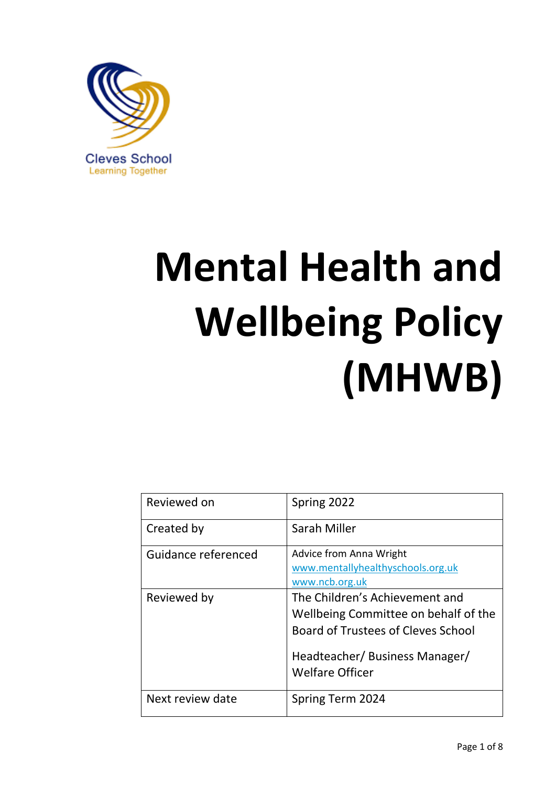

# **Mental Health and Wellbeing Policy (MHWB)**

| Reviewed on         | Spring 2022                                                                                                                                                              |
|---------------------|--------------------------------------------------------------------------------------------------------------------------------------------------------------------------|
| Created by          | Sarah Miller                                                                                                                                                             |
| Guidance referenced | Advice from Anna Wright<br>www.mentallyhealthyschools.org.uk<br>www.ncb.org.uk                                                                                           |
| Reviewed by         | The Children's Achievement and<br>Wellbeing Committee on behalf of the<br>Board of Trustees of Cleves School<br>Headteacher/ Business Manager/<br><b>Welfare Officer</b> |
| Next review date    | Spring Term 2024                                                                                                                                                         |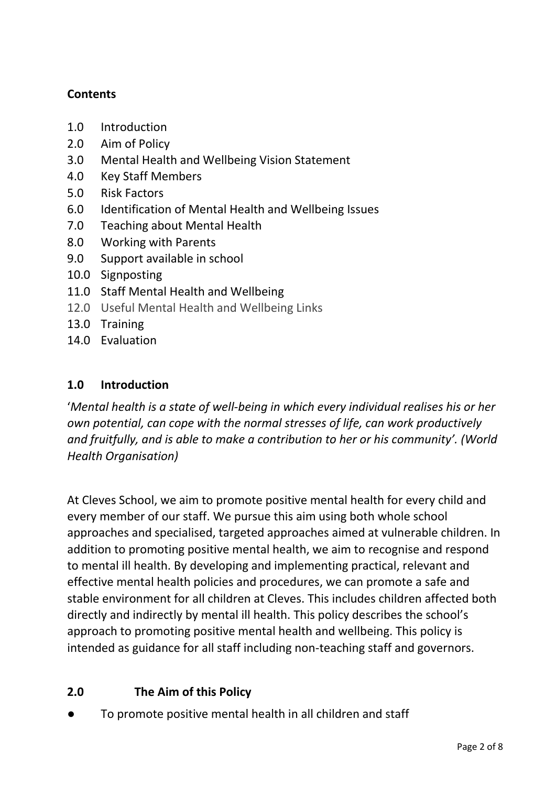## **Contents**

- 1.0 Introduction
- 2.0 Aim of Policy
- 3.0 Mental Health and Wellbeing Vision Statement
- 4.0 Key Staff Members
- 5.0 Risk Factors
- 6.0 Identification of Mental Health and Wellbeing Issues
- 7.0 Teaching about Mental Health
- 8.0 Working with Parents
- 9.0 Support available in school
- 10.0 Signposting
- 11.0 Staff Mental Health and Wellbeing
- 12.0 Useful Mental Health and Wellbeing Links
- 13.0 Training
- 14.0 Evaluation

## **1.0 Introduction**

'*Mental health is a state of well-being in which every individual realises his or her own potential, can cope with the normal stresses of life, can work productively and fruitfully, and is able to make a contribution to her or his community'. (World Health Organisation)*

At Cleves School, we aim to promote positive mental health for every child and every member of our staff. We pursue this aim using both whole school approaches and specialised, targeted approaches aimed at vulnerable children. In addition to promoting positive mental health, we aim to recognise and respond to mental ill health. By developing and implementing practical, relevant and effective mental health policies and procedures, we can promote a safe and stable environment for all children at Cleves. This includes children affected both directly and indirectly by mental ill health. This policy describes the school's approach to promoting positive mental health and wellbeing. This policy is intended as guidance for all staff including non-teaching staff and governors.

# **2.0 The Aim of this Policy**

To promote positive mental health in all children and staff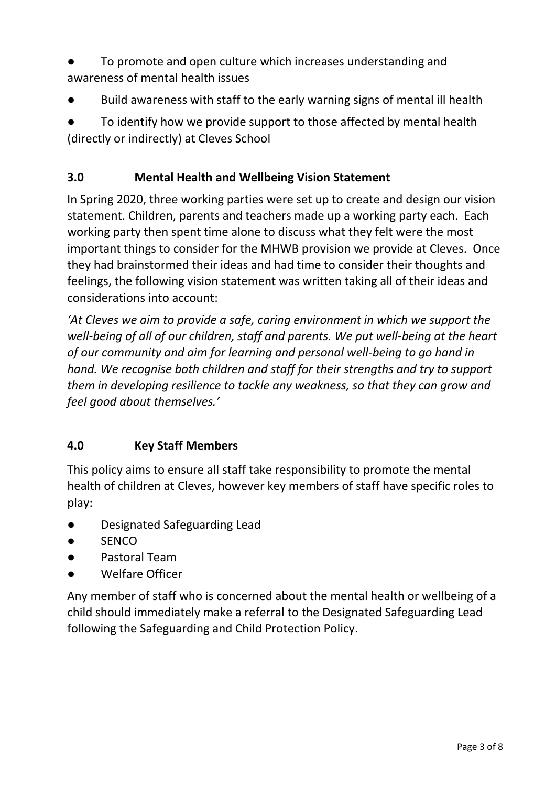- To promote and open culture which increases understanding and awareness of mental health issues
- Build awareness with staff to the early warning signs of mental ill health

To identify how we provide support to those affected by mental health (directly or indirectly) at Cleves School

#### **3.0 Mental Health and Wellbeing Vision Statement**

In Spring 2020, three working parties were set up to create and design our vision statement. Children, parents and teachers made up a working party each. Each working party then spent time alone to discuss what they felt were the most important things to consider for the MHWB provision we provide at Cleves. Once they had brainstormed their ideas and had time to consider their thoughts and feelings, the following vision statement was written taking all of their ideas and considerations into account:

*'At Cleves we aim to provide a safe, caring environment in which we support the well-being of all of our children, staff and parents. We put well-being at the heart of our community and aim for learning and personal well-being to go hand in hand. We recognise both children and staff for their strengths and try to support them in developing resilience to tackle any weakness, so that they can grow and feel good about themselves.'*

## **4.0 Key Staff Members**

This policy aims to ensure all staff take responsibility to promote the mental health of children at Cleves, however key members of staff have specific roles to play:

- Designated Safeguarding Lead
- SENCO
- Pastoral Team
- Welfare Officer

Any member of staff who is concerned about the mental health or wellbeing of a child should immediately make a referral to the Designated Safeguarding Lead following the Safeguarding and Child Protection Policy.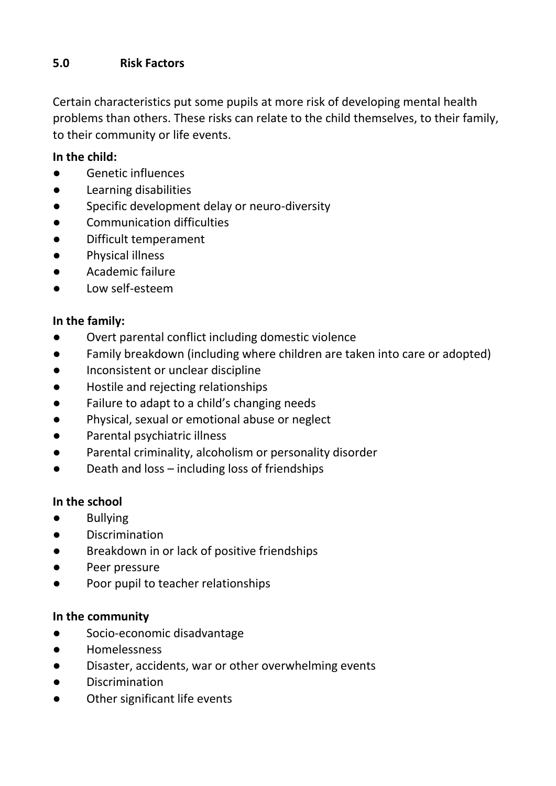## **5.0 Risk Factors**

Certain characteristics put some pupils at more risk of developing mental health problems than others. These risks can relate to the child themselves, to their family, to their community or life events.

#### **In the child:**

- Genetic influences
- Learning disabilities
- Specific development delay or neuro-diversity
- Communication difficulties
- Difficult temperament
- Physical illness
- Academic failure
- Low self-esteem

#### **In the family:**

- Overt parental conflict including domestic violence
- Family breakdown (including where children are taken into care or adopted)
- Inconsistent or unclear discipline
- Hostile and rejecting relationships
- Failure to adapt to a child's changing needs
- Physical, sexual or emotional abuse or neglect
- Parental psychiatric illness
- Parental criminality, alcoholism or personality disorder
- Death and loss including loss of friendships

#### **In the school**

- Bullying
- Discrimination
- Breakdown in or lack of positive friendships
- Peer pressure
- Poor pupil to teacher relationships

#### **In the community**

- Socio-economic disadvantage
- Homelessness
- Disaster, accidents, war or other overwhelming events
- Discrimination
- Other significant life events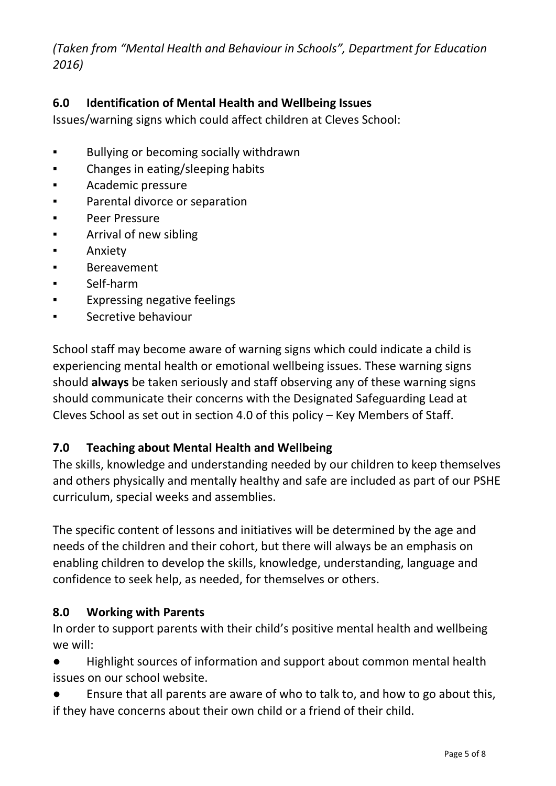*(Taken from "Mental Health and Behaviour in Schools", Department for Education 2016)*

## **6.0 Identification of Mental Health and Wellbeing Issues**

Issues/warning signs which could affect children at Cleves School:

- Bullying or becoming socially withdrawn
- Changes in eating/sleeping habits
- Academic pressure
- Parental divorce or separation
- Peer Pressure
- Arrival of new sibling
- Anxiety
- **Bereavement**
- Self-harm
- Expressing negative feelings
- Secretive behaviour

School staff may become aware of warning signs which could indicate a child is experiencing mental health or emotional wellbeing issues. These warning signs should **always** be taken seriously and staff observing any of these warning signs should communicate their concerns with the Designated Safeguarding Lead at Cleves School as set out in section 4.0 of this policy – Key Members of Staff.

## **7.0 Teaching about Mental Health and Wellbeing**

The skills, knowledge and understanding needed by our children to keep themselves and others physically and mentally healthy and safe are included as part of our PSHE curriculum, special weeks and assemblies.

The specific content of lessons and initiatives will be determined by the age and needs of the children and their cohort, but there will always be an emphasis on enabling children to develop the skills, knowledge, understanding, language and confidence to seek help, as needed, for themselves or others.

## **8.0 Working with Parents**

In order to support parents with their child's positive mental health and wellbeing we will:

● Highlight sources of information and support about common mental health issues on our school website.

● Ensure that all parents are aware of who to talk to, and how to go about this, if they have concerns about their own child or a friend of their child.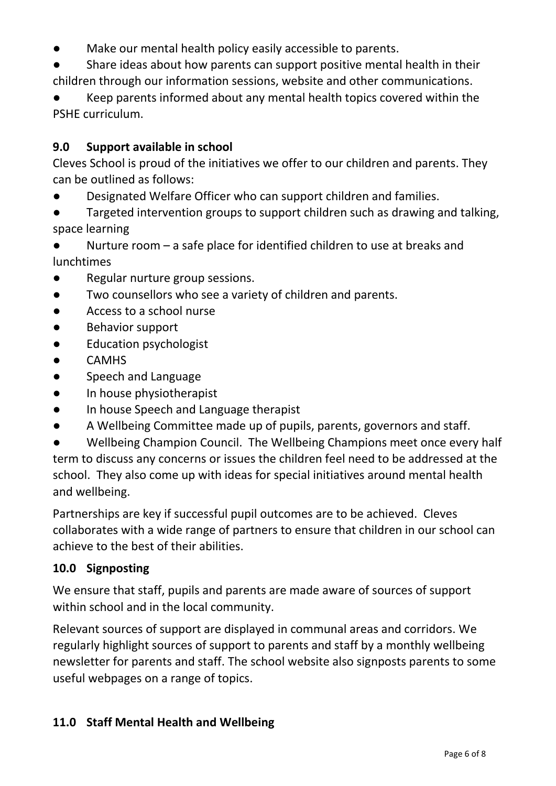- Make our mental health policy easily accessible to parents.
- Share ideas about how parents can support positive mental health in their children through our information sessions, website and other communications.
- Keep parents informed about any mental health topics covered within the PSHE curriculum.

## **9.0 Support available in school**

Cleves School is proud of the initiatives we offer to our children and parents. They can be outlined as follows:

- Designated Welfare Officer who can support children and families.
- Targeted intervention groups to support children such as drawing and talking, space learning
- Nurture room  $-$  a safe place for identified children to use at breaks and lunchtimes
- Regular nurture group sessions.
- Two counsellors who see a variety of children and parents.
- Access to a school nurse
- **Behavior support**
- Education psychologist
- CAMHS
- Speech and Language
- In house physiotherapist
- In house Speech and Language therapist
- A Wellbeing Committee made up of pupils, parents, governors and staff.

Wellbeing Champion Council. The Wellbeing Champions meet once every half term to discuss any concerns or issues the children feel need to be addressed at the school. They also come up with ideas for special initiatives around mental health and wellbeing.

Partnerships are key if successful pupil outcomes are to be achieved. Cleves collaborates with a wide range of partners to ensure that children in our school can achieve to the best of their abilities.

#### **10.0 Signposting**

We ensure that staff, pupils and parents are made aware of sources of support within school and in the local community.

Relevant sources of support are displayed in communal areas and corridors. We regularly highlight sources of support to parents and staff by a monthly wellbeing newsletter for parents and staff. The school website also signposts parents to some useful webpages on a range of topics.

#### **11.0 Staff Mental Health and Wellbeing**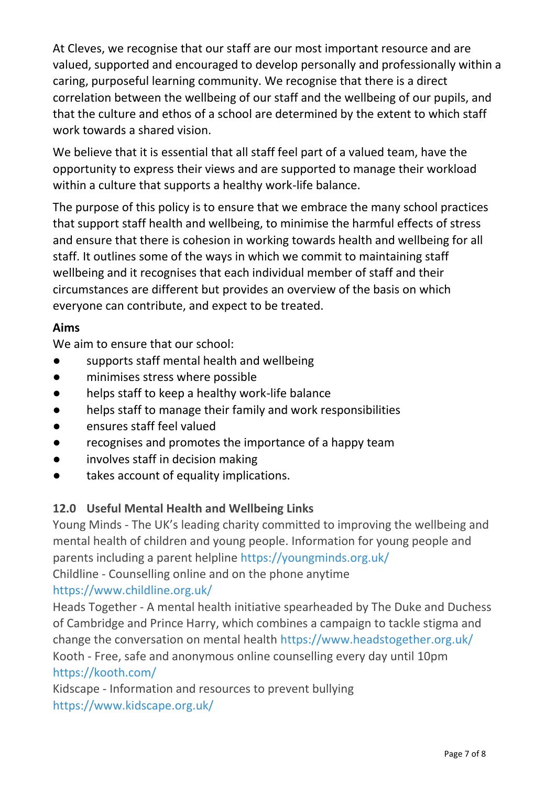At Cleves, we recognise that our staff are our most important resource and are valued, supported and encouraged to develop personally and professionally within a caring, purposeful learning community. We recognise that there is a direct correlation between the wellbeing of our staff and the wellbeing of our pupils, and that the culture and ethos of a school are determined by the extent to which staff work towards a shared vision.

We believe that it is essential that all staff feel part of a valued team, have the opportunity to express their views and are supported to manage their workload within a culture that supports a healthy work-life balance.

The purpose of this policy is to ensure that we embrace the many school practices that support staff health and wellbeing, to minimise the harmful effects of stress and ensure that there is cohesion in working towards health and wellbeing for all staff. It outlines some of the ways in which we commit to maintaining staff wellbeing and it recognises that each individual member of staff and their circumstances are different but provides an overview of the basis on which everyone can contribute, and expect to be treated.

#### **Aims**

We aim to ensure that our school:

- supports staff mental health and wellbeing
- minimises stress where possible
- helps staff to keep a healthy work-life balance
- helps staff to manage their family and work responsibilities
- ensures staff feel valued
- recognises and promotes the importance of a happy team
- involves staff in decision making
- takes account of equality implications.

## **12.0 Useful Mental Health and Wellbeing Links**

Young Minds - The UK's leading charity committed to improving the wellbeing and mental health of children and young people. Information for young people and parents including a parent helpline<https://youngminds.org.uk/>

Childline - Counselling online and on the phone anytime

#### <https://www.childline.org.uk/>

Heads Together - A mental health initiative spearheaded by The Duke and Duchess of Cambridge and Prince Harry, which combines a campaign to tackle stigma and change the conversation on mental health<https://www.headstogether.org.uk/> Kooth - Free, safe and anonymous online counselling every day until 10pm <https://kooth.com/>

Kidscape - Information and resources to prevent bullying <https://www.kidscape.org.uk/>